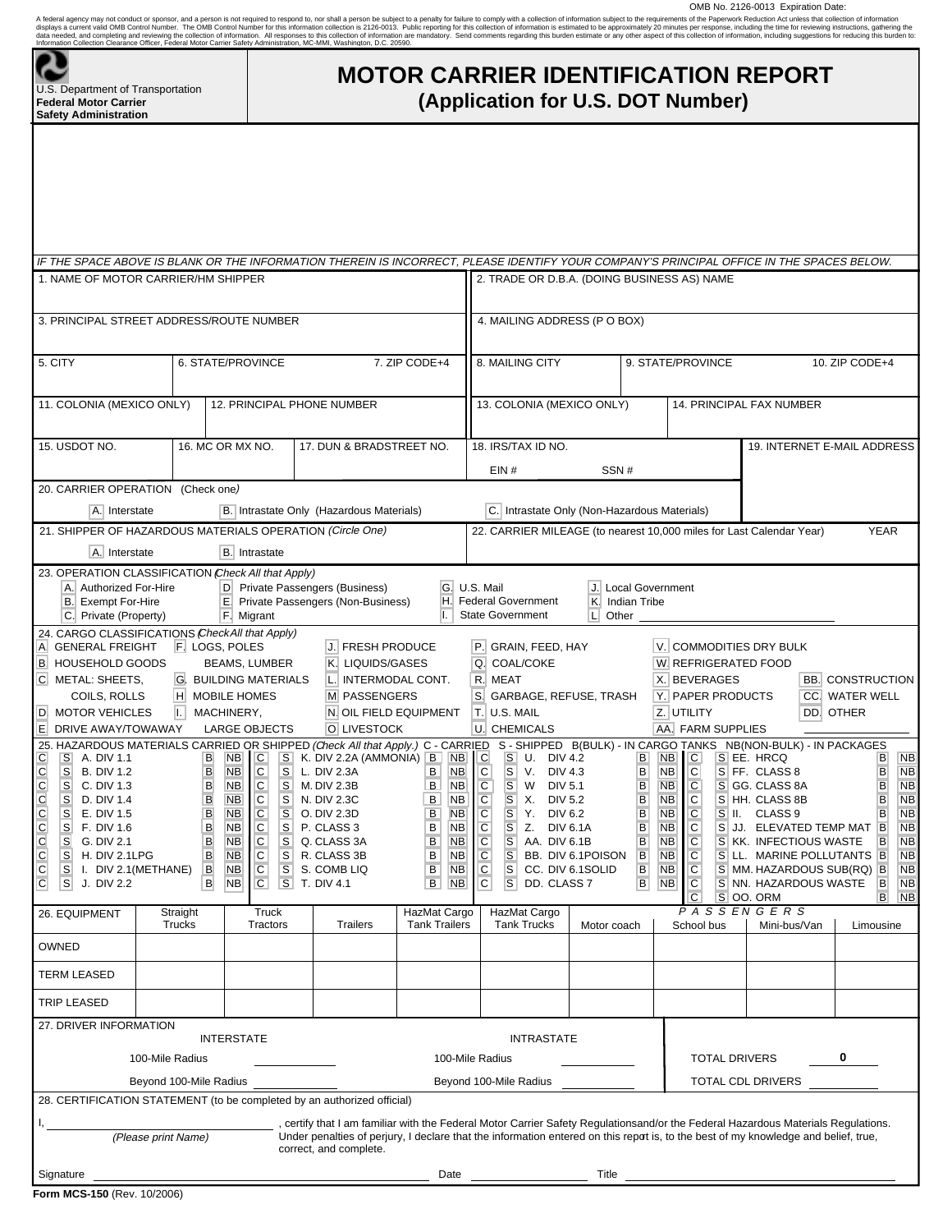OMB No. 2126-0013 Expiration Date:

A federal agency may not conduct or sponsor, and person is not required to respond to, nor shall person be subject to a paralty for fallure for comply with a collection of information settimated to be approximately 20 minu

| S<br>epa<br>L |
|---------------|

Irtment of Transportation **Federal Motor Carrier Safety Administration** 

# **MOTOR CARRIER IDENTIFICATION REPORT (Application for U.S. DOT Number)**

| 1. NAME OF MOTOR CARRIER/HM SHIPPER                                                                                                                                                                                                                                                                                                                                                                                                                                                                                                                             |                                                                                                                                                     |                                                                                                                                                                                                                                                                                                                                                                                                                                                                                                      |                                                                                                                                                                                                                                                                     |                                                                                                                                                                           | IF THE SPACE ABOVE IS BLANK OR THE INFORMATION THEREIN IS INCORRECT, PLEASE IDENTIFY YOUR COMPANY'S PRINCIPAL OFFICE IN THE SPACES BELOW.<br>2. TRADE OR D.B.A. (DOING BUSINESS AS) NAME                                                                                                                                                                                                                                                         |                                                          |                                                                                                                                                                                                                                                                                                                                         |                                                                                                                                                                                                                                                                                                                                                                                                                                                                                                       |                                                                                                                                                                                                                                                            |  |  |  |
|-----------------------------------------------------------------------------------------------------------------------------------------------------------------------------------------------------------------------------------------------------------------------------------------------------------------------------------------------------------------------------------------------------------------------------------------------------------------------------------------------------------------------------------------------------------------|-----------------------------------------------------------------------------------------------------------------------------------------------------|------------------------------------------------------------------------------------------------------------------------------------------------------------------------------------------------------------------------------------------------------------------------------------------------------------------------------------------------------------------------------------------------------------------------------------------------------------------------------------------------------|---------------------------------------------------------------------------------------------------------------------------------------------------------------------------------------------------------------------------------------------------------------------|---------------------------------------------------------------------------------------------------------------------------------------------------------------------------|--------------------------------------------------------------------------------------------------------------------------------------------------------------------------------------------------------------------------------------------------------------------------------------------------------------------------------------------------------------------------------------------------------------------------------------------------|----------------------------------------------------------|-----------------------------------------------------------------------------------------------------------------------------------------------------------------------------------------------------------------------------------------------------------------------------------------------------------------------------------------|-------------------------------------------------------------------------------------------------------------------------------------------------------------------------------------------------------------------------------------------------------------------------------------------------------------------------------------------------------------------------------------------------------------------------------------------------------------------------------------------------------|------------------------------------------------------------------------------------------------------------------------------------------------------------------------------------------------------------------------------------------------------------|--|--|--|
|                                                                                                                                                                                                                                                                                                                                                                                                                                                                                                                                                                 |                                                                                                                                                     |                                                                                                                                                                                                                                                                                                                                                                                                                                                                                                      |                                                                                                                                                                                                                                                                     |                                                                                                                                                                           |                                                                                                                                                                                                                                                                                                                                                                                                                                                  |                                                          |                                                                                                                                                                                                                                                                                                                                         |                                                                                                                                                                                                                                                                                                                                                                                                                                                                                                       |                                                                                                                                                                                                                                                            |  |  |  |
| 3. PRINCIPAL STREET ADDRESS/ROUTE NUMBER                                                                                                                                                                                                                                                                                                                                                                                                                                                                                                                        |                                                                                                                                                     |                                                                                                                                                                                                                                                                                                                                                                                                                                                                                                      |                                                                                                                                                                                                                                                                     |                                                                                                                                                                           | 4. MAILING ADDRESS (P O BOX)                                                                                                                                                                                                                                                                                                                                                                                                                     |                                                          |                                                                                                                                                                                                                                                                                                                                         |                                                                                                                                                                                                                                                                                                                                                                                                                                                                                                       |                                                                                                                                                                                                                                                            |  |  |  |
| 5. CITY                                                                                                                                                                                                                                                                                                                                                                                                                                                                                                                                                         |                                                                                                                                                     | 6. STATE/PROVINCE                                                                                                                                                                                                                                                                                                                                                                                                                                                                                    |                                                                                                                                                                                                                                                                     | 7. ZIP CODE+4                                                                                                                                                             | 8. MAILING CITY                                                                                                                                                                                                                                                                                                                                                                                                                                  |                                                          | 9. STATE/PROVINCE                                                                                                                                                                                                                                                                                                                       |                                                                                                                                                                                                                                                                                                                                                                                                                                                                                                       | 10. ZIP CODE+4                                                                                                                                                                                                                                             |  |  |  |
| 11. COLONIA (MEXICO ONLY)                                                                                                                                                                                                                                                                                                                                                                                                                                                                                                                                       |                                                                                                                                                     | 12. PRINCIPAL PHONE NUMBER                                                                                                                                                                                                                                                                                                                                                                                                                                                                           |                                                                                                                                                                                                                                                                     |                                                                                                                                                                           | 13. COLONIA (MEXICO ONLY)                                                                                                                                                                                                                                                                                                                                                                                                                        |                                                          |                                                                                                                                                                                                                                                                                                                                         | 14. PRINCIPAL FAX NUMBER                                                                                                                                                                                                                                                                                                                                                                                                                                                                              |                                                                                                                                                                                                                                                            |  |  |  |
| 15. USDOT NO.                                                                                                                                                                                                                                                                                                                                                                                                                                                                                                                                                   |                                                                                                                                                     | 16. MC OR MX NO.                                                                                                                                                                                                                                                                                                                                                                                                                                                                                     | 17. DUN & BRADSTREET NO.                                                                                                                                                                                                                                            |                                                                                                                                                                           | 18. IRS/TAX ID NO.                                                                                                                                                                                                                                                                                                                                                                                                                               |                                                          |                                                                                                                                                                                                                                                                                                                                         | 19. INTERNET E-MAIL ADDRESS                                                                                                                                                                                                                                                                                                                                                                                                                                                                           |                                                                                                                                                                                                                                                            |  |  |  |
|                                                                                                                                                                                                                                                                                                                                                                                                                                                                                                                                                                 |                                                                                                                                                     |                                                                                                                                                                                                                                                                                                                                                                                                                                                                                                      |                                                                                                                                                                                                                                                                     |                                                                                                                                                                           | EIN#                                                                                                                                                                                                                                                                                                                                                                                                                                             | SSN#                                                     |                                                                                                                                                                                                                                                                                                                                         |                                                                                                                                                                                                                                                                                                                                                                                                                                                                                                       |                                                                                                                                                                                                                                                            |  |  |  |
| 20. CARRIER OPERATION (Check one)                                                                                                                                                                                                                                                                                                                                                                                                                                                                                                                               |                                                                                                                                                     |                                                                                                                                                                                                                                                                                                                                                                                                                                                                                                      |                                                                                                                                                                                                                                                                     |                                                                                                                                                                           |                                                                                                                                                                                                                                                                                                                                                                                                                                                  |                                                          |                                                                                                                                                                                                                                                                                                                                         |                                                                                                                                                                                                                                                                                                                                                                                                                                                                                                       |                                                                                                                                                                                                                                                            |  |  |  |
| A. Interstate                                                                                                                                                                                                                                                                                                                                                                                                                                                                                                                                                   |                                                                                                                                                     |                                                                                                                                                                                                                                                                                                                                                                                                                                                                                                      | B. Intrastate Only (Hazardous Materials)                                                                                                                                                                                                                            |                                                                                                                                                                           | C. Intrastate Only (Non-Hazardous Materials)                                                                                                                                                                                                                                                                                                                                                                                                     |                                                          |                                                                                                                                                                                                                                                                                                                                         |                                                                                                                                                                                                                                                                                                                                                                                                                                                                                                       |                                                                                                                                                                                                                                                            |  |  |  |
| 21. SHIPPER OF HAZARDOUS MATERIALS OPERATION (Circle One)                                                                                                                                                                                                                                                                                                                                                                                                                                                                                                       |                                                                                                                                                     |                                                                                                                                                                                                                                                                                                                                                                                                                                                                                                      |                                                                                                                                                                                                                                                                     |                                                                                                                                                                           |                                                                                                                                                                                                                                                                                                                                                                                                                                                  |                                                          |                                                                                                                                                                                                                                                                                                                                         | 22. CARRIER MILEAGE (to nearest 10,000 miles for Last Calendar Year)                                                                                                                                                                                                                                                                                                                                                                                                                                  | <b>YEAR</b>                                                                                                                                                                                                                                                |  |  |  |
| A. Interstate                                                                                                                                                                                                                                                                                                                                                                                                                                                                                                                                                   |                                                                                                                                                     | <b>B.</b> Intrastate                                                                                                                                                                                                                                                                                                                                                                                                                                                                                 |                                                                                                                                                                                                                                                                     |                                                                                                                                                                           |                                                                                                                                                                                                                                                                                                                                                                                                                                                  |                                                          |                                                                                                                                                                                                                                                                                                                                         |                                                                                                                                                                                                                                                                                                                                                                                                                                                                                                       |                                                                                                                                                                                                                                                            |  |  |  |
| 23. OPERATION CLASSIFICATION Check All that Apply)<br>A. Authorized For-Hire<br><b>B.</b> Exempt For-Hire<br>C. Private (Property)                                                                                                                                                                                                                                                                                                                                                                                                                              |                                                                                                                                                     | F. Migrant                                                                                                                                                                                                                                                                                                                                                                                                                                                                                           | D Private Passengers (Business)<br>E. Private Passengers (Non-Business)                                                                                                                                                                                             | G.<br>H.<br>Ι.                                                                                                                                                            | U.S. Mail<br><b>Federal Government</b><br><b>State Government</b>                                                                                                                                                                                                                                                                                                                                                                                | Indian Tribe<br>K.<br>$L$ Other $\overline{\phantom{a}}$ | J. Local Government                                                                                                                                                                                                                                                                                                                     |                                                                                                                                                                                                                                                                                                                                                                                                                                                                                                       |                                                                                                                                                                                                                                                            |  |  |  |
| 24. CARGO CLASSIFICATIONS (CheckAll that Apply)<br><b>GENERAL FREIGHT</b><br>A.<br><b>HOUSEHOLD GOODS</b><br>B.<br>C. METAL: SHEETS,<br>COILS, ROLLS<br><b>MOTOR VEHICLES</b><br>D<br>E.<br>DRIVE AWAY/TOWAWAY<br>$\frac{C}{C}$<br>$\mathbf{s}$<br><b>B. DIV 1.2</b><br>$\mathbf{s}$<br>C. DIV 1.3<br>$\frac{C}{C}$<br>s<br>D. DIV 1.4<br>$\mathbf{s}$<br>E. DIV 1.5<br>$\frac{C}{C}$<br>S<br>F. DIV 1.6<br>s<br>G. DIV 2.1<br>$\overline{C}$<br>s<br>H. DIV 2.1LPG<br>$\mathsf{C}$<br>S<br>I. DIV 2.1 (METHANE)<br>$\mathsf C$<br>s <sub>l</sub><br>J. DIV 2.2 | F. LOGS, POLES<br>H.<br>I.<br>$\, {\bf B}$<br>$\overline{B}$<br>$\sf B$<br>$\sf B$<br>$\mathsf B$<br>$\sf B$<br>$\overline{B}$<br>B<br>$\mathsf{B}$ | <b>BEAMS, LUMBER</b><br><b>G. BUILDING MATERIALS</b><br><b>MOBILE HOMES</b><br>MACHINERY,<br><b>LARGE OBJECTS</b><br>${\tt S}$<br>C<br><b>NB</b><br>$\overline{c}$<br><b>NB</b><br>$\mathbf{s}$<br>C.<br>$\mathbb S$<br><b>NB</b><br>$\mathsf C$<br>$\overline{\mathbf{s}}$<br><b>NB</b><br>$\mathsf{C}$<br>${\mathsf S}$<br><b>NB</b><br>$\overline{c}$<br><b>NB</b><br>${\mathbb S}$<br>C.<br>S<br><b>NB</b><br>$\mathsf C$<br><b>NB</b><br>$\overline{\mathbf{s}}$<br>$\overline{C}$<br><b>NB</b> | J. FRESH PRODUCE<br>K. LIQUIDS/GASES<br>L. INTERMODAL CONT.<br><b>M PASSENGERS</b><br>N. OIL FIELD EQUIPMENT<br>O. LIVESTOCK<br>L. DIV 2.3A<br>M. DIV 2.3B<br>N. DIV 2.3C<br>O. DIV 2.3D<br>P. CLASS 3<br>Q. CLASS 3A<br>R. CLASS 3B<br>S. COMB LIQ<br>S T. DIV 4.1 | В<br><b>NB</b><br>$\mathbf{B}$<br><b>NB</b><br>B<br><b>NB</b><br>B<br><b>NB</b><br>B<br><b>NB</b><br>B<br><b>NB</b><br>B<br><b>NB</b><br>B<br><b>NB</b><br>B<br><b>NB</b> | P. GRAIN, FEED, HAY<br><b>COAL/COKE</b><br>Q.<br>R. MEAT<br>S. GARBAGE, REFUSE, TRASH<br>T. U.S. MAIL<br>U. CHEMICALS<br><b>DIV 4.3</b><br>С<br><sub>S</sub><br>V.<br>$\mathsf C$<br>$\mathbf{s}$<br>W<br>DIV 5.1<br>C<br>$\mathsf{S}$<br><b>DIV 5.2</b><br>Х.<br>$\mathsf C$<br>S<br>Υ.<br>DIV 6.2<br>C<br>S<br>Z. DIV 6.1A<br>$\mathsf C$<br>$\mathbf{s}$<br>AA. DIV 6.1B<br>$\overline{C}$<br>S<br>$\mathsf{C}$<br>S<br>C<br>S<br>DD. CLASS 7 | BB. DIV 6.1POISON<br>CC. DIV 6.1SOLID                    | X. BEVERAGES<br>Y. PAPER PRODUCTS<br>Z. UTILITY<br>AA. FARM SUPPLIES<br>B<br>C<br><b>NB</b><br>$\overline{C}$<br>B<br><b>NB</b><br>B<br>C<br><b>NB</b><br>$\overline{C}$<br>B<br><b>NB</b><br>B<br>C<br><b>NB</b><br>$\overline{C}$<br>B<br><b>NB</b><br>B<br><b>NB</b><br>C<br>$\overline{c}$<br>B<br><b>NB</b><br>B<br><b>NB</b><br>C | V. COMMODITIES DRY BULK<br>W. REFRIGERATED FOOD<br>25. HAZARDOUS MATERIALS CARRIED OR SHIPPED <i>(Check All that Apply.)</i> C - CARRIED S - SHIPPED B(BULK) - IN CARGO TANKS NB(NON-BULK) - IN PACKAGES<br>C S A. DIV 1.1 B NB C S K. DIV 2.2A (AMMONIA) B NB C S U. DIV 4.2 B NB C S EE<br>S FF. CLASS 8<br>S GG. CLASS 8A<br>S HH. CLASS 8B<br>S II. CLASS 9<br>S JJ. ELEVATED TEMP MAT<br>S KK. INFECTIOUS WASTE<br>S LL. MARINE POLLUTANTS<br>S MM. HAZARDOUS SUB(RQ) B<br>S NN. HAZARDOUS WASTE | <b>BB. CONSTRUCTION</b><br><b>CC. WATER WELL</b><br>DD. OTHER<br><b>NB</b><br>B<br>$\sf{B}$<br><b>NB</b><br><b>NB</b><br>B<br>B<br><b>NB</b><br><b>NB</b><br>B<br><b>NB</b><br>B<br>B<br><b>NB</b><br><b>NB</b><br><b>B</b><br><b>NB</b><br>B<br><b>NB</b> |  |  |  |
| 26. EQUIPMENT                                                                                                                                                                                                                                                                                                                                                                                                                                                                                                                                                   | Straight                                                                                                                                            | Truck                                                                                                                                                                                                                                                                                                                                                                                                                                                                                                |                                                                                                                                                                                                                                                                     | HazMat Cargo                                                                                                                                                              | HazMat Cargo                                                                                                                                                                                                                                                                                                                                                                                                                                     |                                                          | C                                                                                                                                                                                                                                                                                                                                       | S OO. ORM<br>PASSENGERS                                                                                                                                                                                                                                                                                                                                                                                                                                                                               | B<br><b>NB</b>                                                                                                                                                                                                                                             |  |  |  |
|                                                                                                                                                                                                                                                                                                                                                                                                                                                                                                                                                                 | <b>Trucks</b>                                                                                                                                       | Tractors                                                                                                                                                                                                                                                                                                                                                                                                                                                                                             | <b>Trailers</b>                                                                                                                                                                                                                                                     | <b>Tank Trailers</b>                                                                                                                                                      | <b>Tank Trucks</b>                                                                                                                                                                                                                                                                                                                                                                                                                               | Motor coach                                              | School bus                                                                                                                                                                                                                                                                                                                              | Mini-bus/Van                                                                                                                                                                                                                                                                                                                                                                                                                                                                                          | Limousine                                                                                                                                                                                                                                                  |  |  |  |
| OWNED                                                                                                                                                                                                                                                                                                                                                                                                                                                                                                                                                           |                                                                                                                                                     |                                                                                                                                                                                                                                                                                                                                                                                                                                                                                                      |                                                                                                                                                                                                                                                                     |                                                                                                                                                                           |                                                                                                                                                                                                                                                                                                                                                                                                                                                  |                                                          |                                                                                                                                                                                                                                                                                                                                         |                                                                                                                                                                                                                                                                                                                                                                                                                                                                                                       |                                                                                                                                                                                                                                                            |  |  |  |
| <b>TERM LEASED</b>                                                                                                                                                                                                                                                                                                                                                                                                                                                                                                                                              |                                                                                                                                                     |                                                                                                                                                                                                                                                                                                                                                                                                                                                                                                      |                                                                                                                                                                                                                                                                     |                                                                                                                                                                           |                                                                                                                                                                                                                                                                                                                                                                                                                                                  |                                                          |                                                                                                                                                                                                                                                                                                                                         |                                                                                                                                                                                                                                                                                                                                                                                                                                                                                                       |                                                                                                                                                                                                                                                            |  |  |  |
| <b>TRIP LEASED</b>                                                                                                                                                                                                                                                                                                                                                                                                                                                                                                                                              |                                                                                                                                                     |                                                                                                                                                                                                                                                                                                                                                                                                                                                                                                      |                                                                                                                                                                                                                                                                     |                                                                                                                                                                           |                                                                                                                                                                                                                                                                                                                                                                                                                                                  |                                                          |                                                                                                                                                                                                                                                                                                                                         |                                                                                                                                                                                                                                                                                                                                                                                                                                                                                                       |                                                                                                                                                                                                                                                            |  |  |  |
| 27. DRIVER INFORMATION                                                                                                                                                                                                                                                                                                                                                                                                                                                                                                                                          |                                                                                                                                                     | <b>INTERSTATE</b>                                                                                                                                                                                                                                                                                                                                                                                                                                                                                    |                                                                                                                                                                                                                                                                     |                                                                                                                                                                           | <b>INTRASTATE</b>                                                                                                                                                                                                                                                                                                                                                                                                                                |                                                          |                                                                                                                                                                                                                                                                                                                                         |                                                                                                                                                                                                                                                                                                                                                                                                                                                                                                       |                                                                                                                                                                                                                                                            |  |  |  |
|                                                                                                                                                                                                                                                                                                                                                                                                                                                                                                                                                                 | 100-Mile Radius                                                                                                                                     |                                                                                                                                                                                                                                                                                                                                                                                                                                                                                                      |                                                                                                                                                                                                                                                                     | 100-Mile Radius                                                                                                                                                           |                                                                                                                                                                                                                                                                                                                                                                                                                                                  |                                                          |                                                                                                                                                                                                                                                                                                                                         | <b>TOTAL DRIVERS</b>                                                                                                                                                                                                                                                                                                                                                                                                                                                                                  | 0                                                                                                                                                                                                                                                          |  |  |  |
|                                                                                                                                                                                                                                                                                                                                                                                                                                                                                                                                                                 | Beyond 100-Mile Radius<br>Beyond 100-Mile Radius<br>TOTAL CDL DRIVERS                                                                               |                                                                                                                                                                                                                                                                                                                                                                                                                                                                                                      |                                                                                                                                                                                                                                                                     |                                                                                                                                                                           |                                                                                                                                                                                                                                                                                                                                                                                                                                                  |                                                          |                                                                                                                                                                                                                                                                                                                                         |                                                                                                                                                                                                                                                                                                                                                                                                                                                                                                       |                                                                                                                                                                                                                                                            |  |  |  |
| 28. CERTIFICATION STATEMENT (to be completed by an authorized official)                                                                                                                                                                                                                                                                                                                                                                                                                                                                                         |                                                                                                                                                     |                                                                                                                                                                                                                                                                                                                                                                                                                                                                                                      |                                                                                                                                                                                                                                                                     |                                                                                                                                                                           |                                                                                                                                                                                                                                                                                                                                                                                                                                                  |                                                          |                                                                                                                                                                                                                                                                                                                                         |                                                                                                                                                                                                                                                                                                                                                                                                                                                                                                       |                                                                                                                                                                                                                                                            |  |  |  |
|                                                                                                                                                                                                                                                                                                                                                                                                                                                                                                                                                                 | (Please print Name)                                                                                                                                 |                                                                                                                                                                                                                                                                                                                                                                                                                                                                                                      | correct, and complete.                                                                                                                                                                                                                                              |                                                                                                                                                                           |                                                                                                                                                                                                                                                                                                                                                                                                                                                  |                                                          |                                                                                                                                                                                                                                                                                                                                         | , certify that I am familiar with the Federal Motor Carrier Safety Regulationsand/or the Federal Hazardous Materials Regulations.<br>Under penalties of perjury, I declare that the information entered on this report is, to the best of my knowledge and belief, true,                                                                                                                                                                                                                              |                                                                                                                                                                                                                                                            |  |  |  |
| Signature                                                                                                                                                                                                                                                                                                                                                                                                                                                                                                                                                       |                                                                                                                                                     |                                                                                                                                                                                                                                                                                                                                                                                                                                                                                                      |                                                                                                                                                                                                                                                                     | Date                                                                                                                                                                      | <b>Title</b>                                                                                                                                                                                                                                                                                                                                                                                                                                     |                                                          |                                                                                                                                                                                                                                                                                                                                         |                                                                                                                                                                                                                                                                                                                                                                                                                                                                                                       |                                                                                                                                                                                                                                                            |  |  |  |
| Form MCS-150 (Rev. 10/2006)                                                                                                                                                                                                                                                                                                                                                                                                                                                                                                                                     |                                                                                                                                                     |                                                                                                                                                                                                                                                                                                                                                                                                                                                                                                      |                                                                                                                                                                                                                                                                     |                                                                                                                                                                           |                                                                                                                                                                                                                                                                                                                                                                                                                                                  |                                                          |                                                                                                                                                                                                                                                                                                                                         |                                                                                                                                                                                                                                                                                                                                                                                                                                                                                                       |                                                                                                                                                                                                                                                            |  |  |  |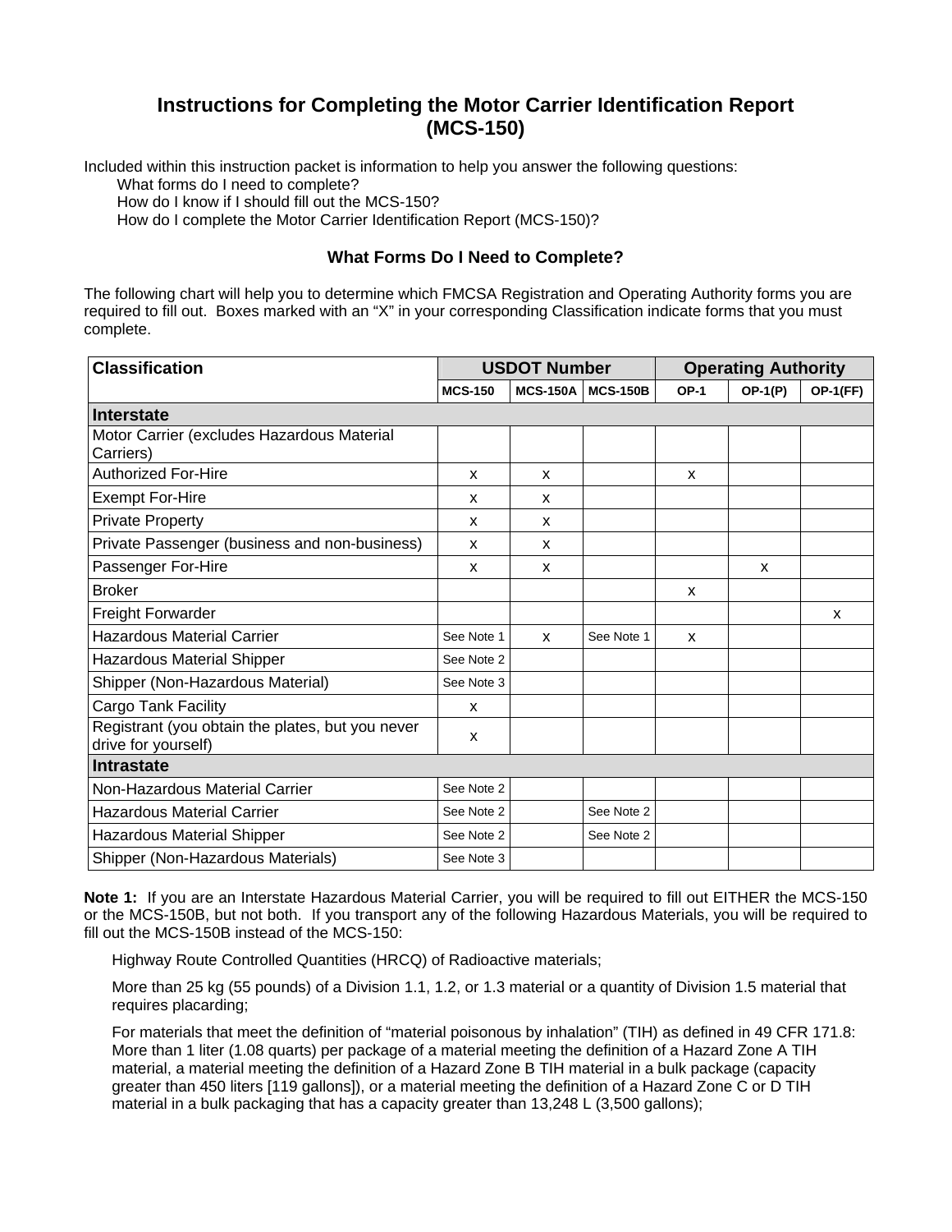## **Instructions for Completing the Motor Carrier Identification Report (MCS-150)**

Included within this instruction packet is information to help you answer the following questions:

What forms do I need to complete?

How do I know if I should fill out the MCS-150?

How do I complete the Motor Carrier Identification Report (MCS-150)?

### **What Forms Do I Need to Complete?**

The following chart will help you to determine which FMCSA Registration and Operating Authority forms you are required to fill out. Boxes marked with an "X" in your corresponding Classification indicate forms that you must complete.

| <b>Classification</b>                                                   |                | <b>USDOT Number</b> |                 | <b>Operating Authority</b> |           |                 |  |
|-------------------------------------------------------------------------|----------------|---------------------|-----------------|----------------------------|-----------|-----------------|--|
|                                                                         | <b>MCS-150</b> | <b>MCS-150A</b>     | <b>MCS-150B</b> | <b>OP-1</b>                | $OP-1(P)$ | <b>OP-1(FF)</b> |  |
| <b>Interstate</b>                                                       |                |                     |                 |                            |           |                 |  |
| Motor Carrier (excludes Hazardous Material<br>Carriers)                 |                |                     |                 |                            |           |                 |  |
| <b>Authorized For-Hire</b>                                              | x              | $\mathsf{x}$        |                 | X                          |           |                 |  |
| <b>Exempt For-Hire</b>                                                  | X              | X                   |                 |                            |           |                 |  |
| <b>Private Property</b>                                                 | X              | $\mathsf{x}$        |                 |                            |           |                 |  |
| Private Passenger (business and non-business)                           | X              | $\mathsf{x}$        |                 |                            |           |                 |  |
| Passenger For-Hire                                                      | X              | X                   |                 |                            | X         |                 |  |
| <b>Broker</b>                                                           |                |                     |                 | X                          |           |                 |  |
| Freight Forwarder                                                       |                |                     |                 |                            |           | $\mathsf{x}$    |  |
| <b>Hazardous Material Carrier</b>                                       | See Note 1     | $\mathsf{x}$        | See Note 1      | X                          |           |                 |  |
| Hazardous Material Shipper                                              | See Note 2     |                     |                 |                            |           |                 |  |
| Shipper (Non-Hazardous Material)                                        | See Note 3     |                     |                 |                            |           |                 |  |
| <b>Cargo Tank Facility</b>                                              | X              |                     |                 |                            |           |                 |  |
| Registrant (you obtain the plates, but you never<br>drive for yourself) | X              |                     |                 |                            |           |                 |  |
| <b>Intrastate</b>                                                       |                |                     |                 |                            |           |                 |  |
| Non-Hazardous Material Carrier                                          | See Note 2     |                     |                 |                            |           |                 |  |
| <b>Hazardous Material Carrier</b>                                       | See Note 2     |                     | See Note 2      |                            |           |                 |  |
| Hazardous Material Shipper                                              | See Note 2     |                     | See Note 2      |                            |           |                 |  |
| Shipper (Non-Hazardous Materials)                                       | See Note 3     |                     |                 |                            |           |                 |  |

**Note 1:** If you are an Interstate Hazardous Material Carrier, you will be required to fill out EITHER the MCS-150 or the MCS-150B, but not both. If you transport any of the following Hazardous Materials, you will be required to fill out the MCS-150B instead of the MCS-150:

Highway Route Controlled Quantities (HRCQ) of Radioactive materials;

More than 25 kg (55 pounds) of a Division 1.1, 1.2, or 1.3 material or a quantity of Division 1.5 material that requires placarding;

For materials that meet the definition of "material poisonous by inhalation" (TIH) as defined in 49 CFR 171.8: More than 1 liter (1.08 quarts) per package of a material meeting the definition of a Hazard Zone A TIH material, a material meeting the definition of a Hazard Zone B TIH material in a bulk package (capacity greater than 450 liters [119 gallons]), or a material meeting the definition of a Hazard Zone C or D TIH material in a bulk packaging that has a capacity greater than 13,248 L (3,500 gallons);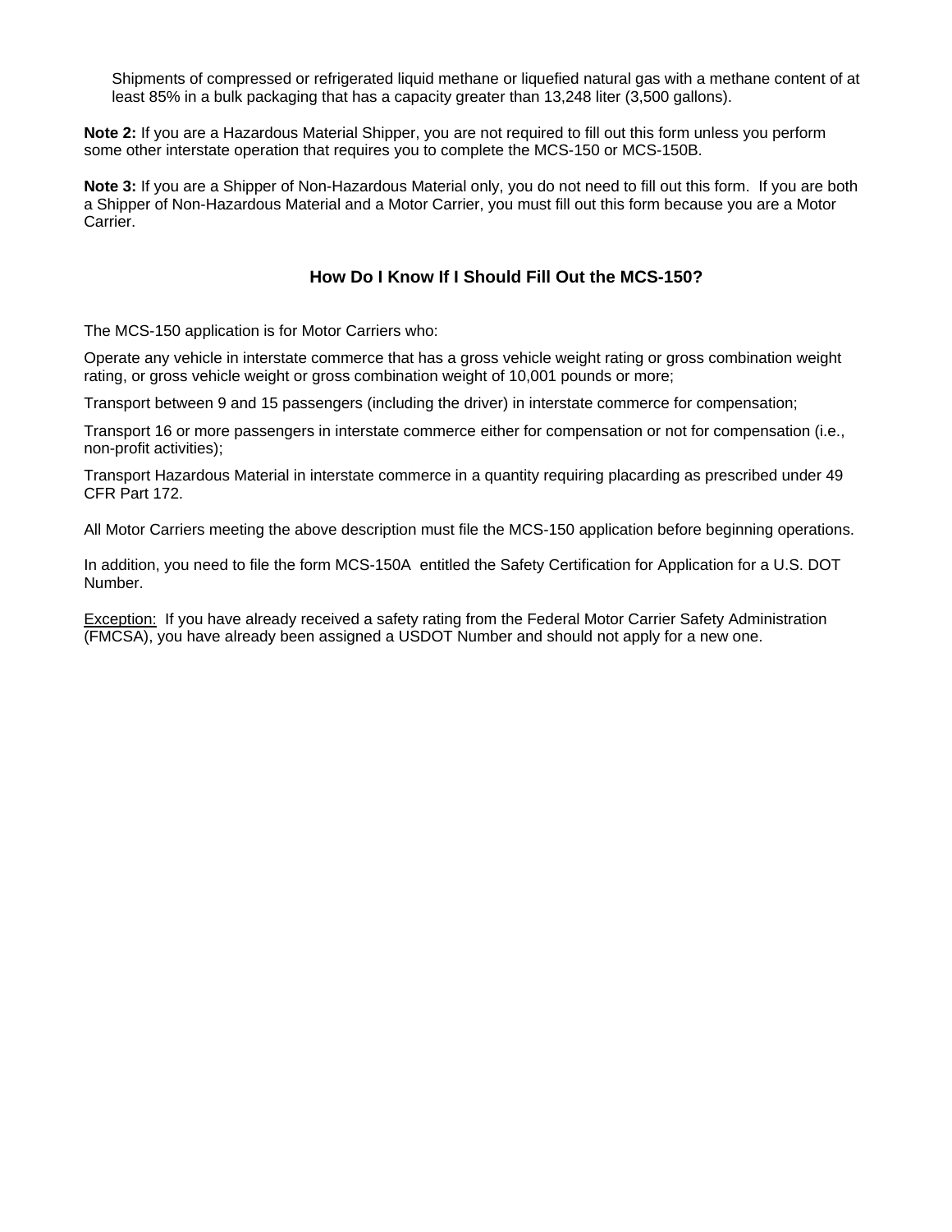Shipments of compressed or refrigerated liquid methane or liquefied natural gas with a methane content of at least 85% in a bulk packaging that has a capacity greater than 13,248 liter (3,500 gallons).

**Note 2:** If you are a Hazardous Material Shipper, you are not required to fill out this form unless you perform some other interstate operation that requires you to complete the MCS-150 or MCS-150B.

**Note 3:** If you are a Shipper of Non-Hazardous Material only, you do not need to fill out this form. If you are both a Shipper of Non-Hazardous Material and a Motor Carrier, you must fill out this form because you are a Motor Carrier.

## **How Do I Know If I Should Fill Out the MCS-150?**

The MCS-150 application is for Motor Carriers who:

Operate any vehicle in interstate commerce that has a gross vehicle weight rating or gross combination weight rating, or gross vehicle weight or gross combination weight of 10,001 pounds or more;

Transport between 9 and 15 passengers (including the driver) in interstate commerce for compensation;

Transport 16 or more passengers in interstate commerce either for compensation or not for compensation (i.e., non-profit activities);

Transport Hazardous Material in interstate commerce in a quantity requiring placarding as prescribed under 49 CFR Part 172.

All Motor Carriers meeting the above description must file the MCS-150 application before beginning operations.

In addition, you need to file the form MCS-150A entitled the Safety Certification for Application for a U.S. DOT Number.

Exception: If you have already received a safety rating from the Federal Motor Carrier Safety Administration (FMCSA), you have already been assigned a USDOT Number and should not apply for a new one.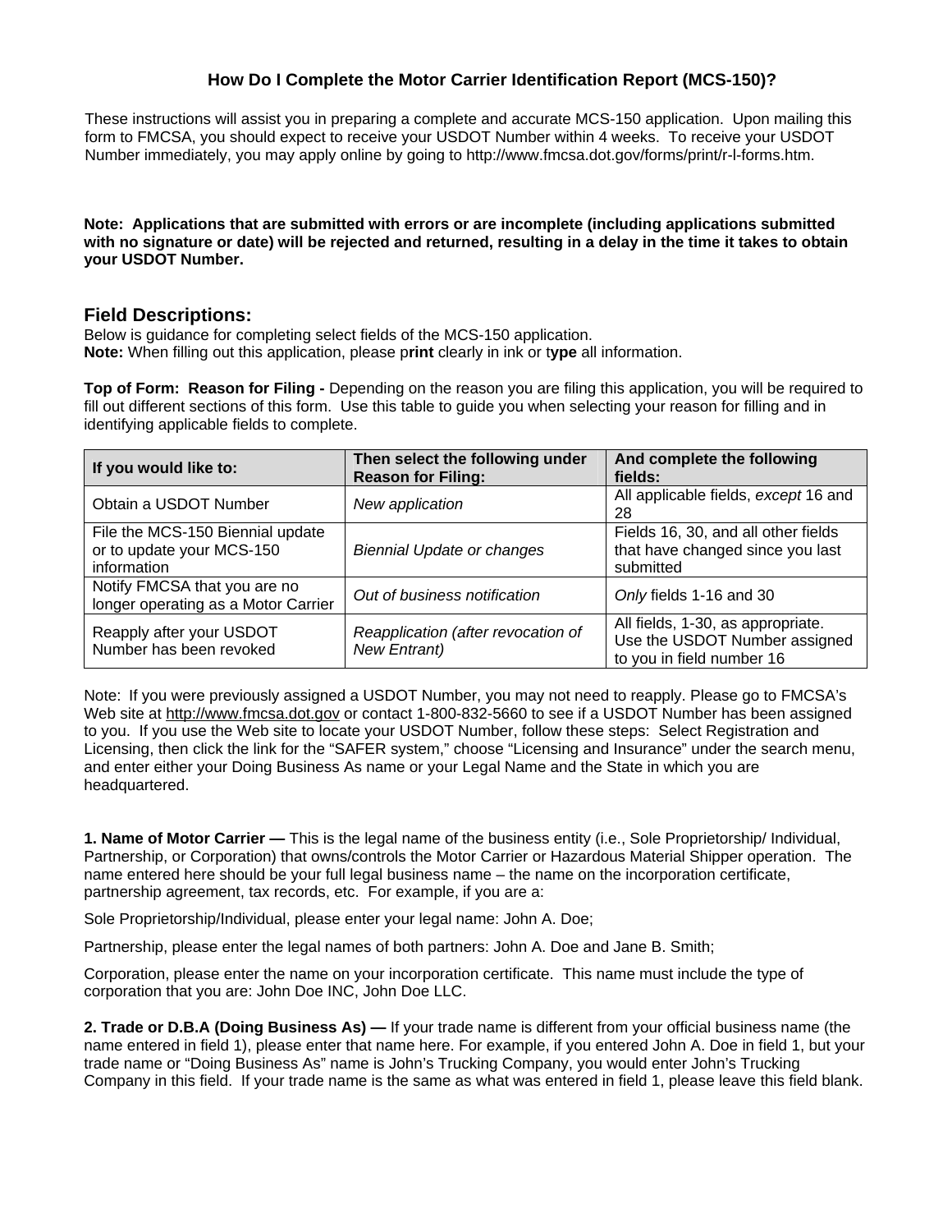## **How Do I Complete the Motor Carrier Identification Report (MCS-150)?**

These instructions will assist you in preparing a complete and accurate MCS-150 application. Upon mailing this form to FMCSA, you should expect to receive your USDOT Number within 4 weeks. To receive your USDOT Number immediately, you may apply online by going to http://www.fmcsa.dot.gov/forms/print/r-l-forms.htm.

#### **[Note: Applications that are submitted with errors or are incomplete \(including applications submitt](http://www.fmcsa.dot.gov/forms/print/r-l-forms.htm.Note:)ed with no signature or date) will be rejected and returned, resulting in a delay in the time it takes to obtain your USDOT Number.**

## **Field Descriptions:**

Below is guidance for completing select fields of the MCS-150 application. **Note:** When filling out this application, please p**rint** clearly in ink or t**ype** all information.

**Top of Form: Reason for Filing -** Depending on the reason you are filing this application, you will be required to fill out different sections of this form. Use this table to guide you when selecting your reason for filling and in identifying applicable fields to complete.

| If you would like to:                                                        | Then select the following under<br><b>Reason for Filing:</b> | And complete the following<br>fields:                                                           |
|------------------------------------------------------------------------------|--------------------------------------------------------------|-------------------------------------------------------------------------------------------------|
| Obtain a USDOT Number                                                        | New application                                              | All applicable fields, except 16 and<br>28                                                      |
| File the MCS-150 Biennial update<br>or to update your MCS-150<br>information | <b>Biennial Update or changes</b>                            | Fields 16, 30, and all other fields<br>that have changed since you last<br>submitted            |
| Notify FMCSA that you are no<br>longer operating as a Motor Carrier          | Out of business notification                                 | Only fields 1-16 and 30                                                                         |
| Reapply after your USDOT<br>Number has been revoked                          | Reapplication (after revocation of<br><b>New Entrant)</b>    | All fields, 1-30, as appropriate.<br>Use the USDOT Number assigned<br>to you in field number 16 |

Note: If you were previously assigned a USDOT Number, you may not need to reapply. Please go to FMCSA's Web site at http://www.f[mcsa.dot.gov](http://www.fmcsa.dot.gov) or contact 1-800-832-5660 to see if a USDOT Number has been assigned to you. If you use the Web site to locate your USDOT Number, follow these steps: Select Registration and Licensing, then click the link for the "SAFER system," choose "Licensing and Insurance" under the search menu, and enter either your Doing Business As name or your Legal Name and the State in which you are headquartered.

**1. Name of Motor Carrier —** This is the legal name of the business entity (i.e., Sole Proprietorship/ Individual, Partnership, or Corporation) that owns/controls the Motor Carrier or Hazardous Material Shipper operation. The name entered here should be your full legal business name – the name on the incorporation certificate, partnership agreement, tax records, etc. For example, if you are a:

Sole Proprietorship/Individual, please enter your legal name: John A. Doe;

Partnership, please enter the legal names of both partners: John A. Doe and Jane B. Smith;

Corporation, please enter the name on your incorporation certificate. This name must include the type of corporation that you are: John Doe INC, John Doe LLC.

**2. Trade or D.B.A (Doing Business As) —** If your trade name is different from your official business name (the name entered in field 1), please enter that name here. For example, if you entered John A. Doe in field 1, but your trade name or "Doing Business As" name is John's Trucking Company, you would enter John's Trucking Company in this field. If your trade name is the same as what was entered in field 1, please leave this field blank.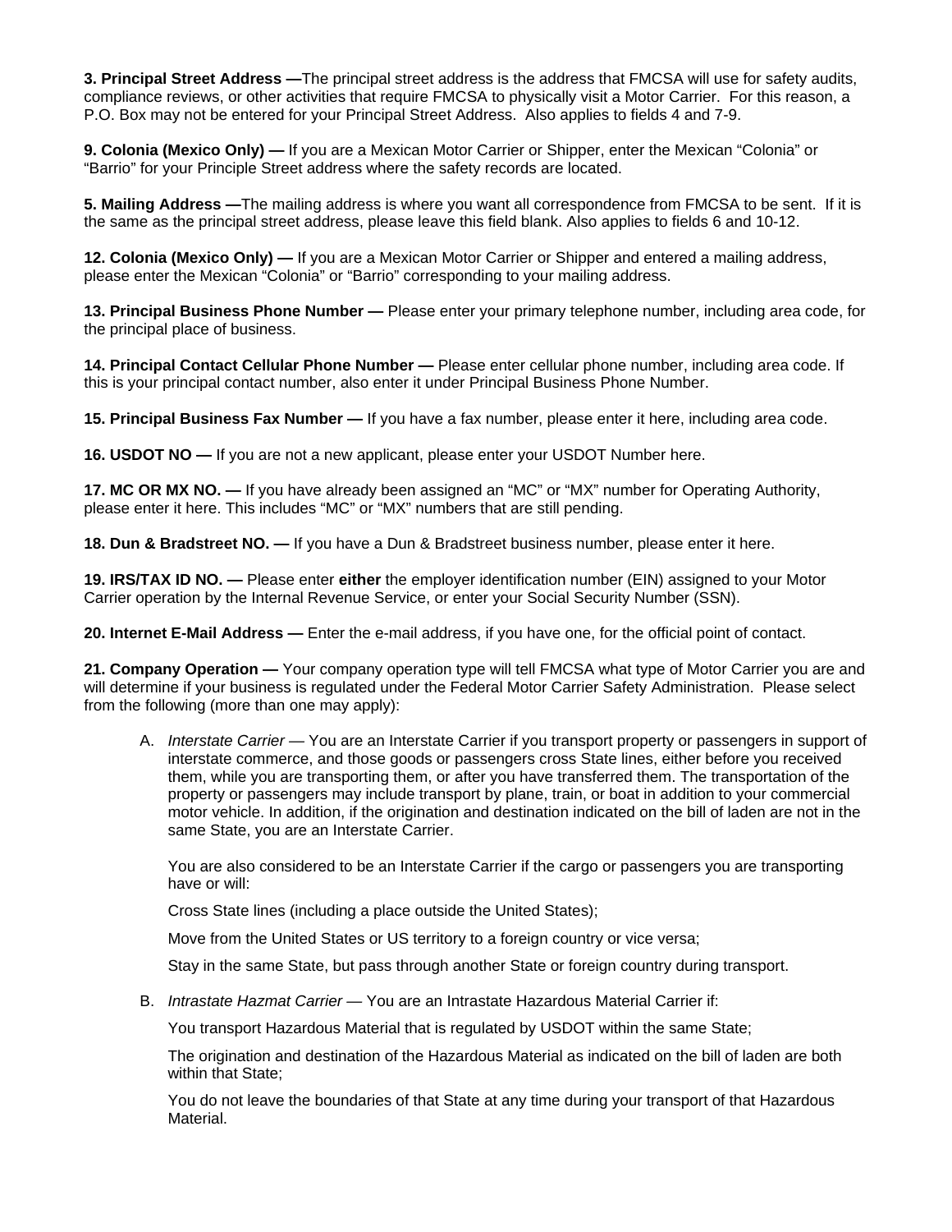**3. Principal Street Address —**The principal street address is the address that FMCSA will use for safety audits, compliance reviews, or other activities that require FMCSA to physically visit a Motor Carrier. For this reason, a P.O. Box may not be entered for your Principal Street Address. Also applies to fields 4 and 7-9.

**9. Colonia (Mexico Only) —** If you are a Mexican Motor Carrier or Shipper, enter the Mexican "Colonia" or "Barrio" for your Principle Street address where the safety records are located.

**5. Mailing Address —**The mailing address is where you want all correspondence from FMCSA to be sent. If it is the same as the principal street address, please leave this field blank. Also applies to fields 6 and 10-12.

**12. Colonia (Mexico Only) —** If you are a Mexican Motor Carrier or Shipper and entered a mailing address, please enter the Mexican "Colonia" or "Barrio" corresponding to your mailing address.

**13. Principal Business Phone Number —** Please enter your primary telephone number, including area code, for the principal place of business.

**14. Principal Contact Cellular Phone Number —** Please enter cellular phone number, including area code. If this is your principal contact number, also enter it under Principal Business Phone Number.

**15. Principal Business Fax Number —** If you have a fax number, please enter it here, including area code.

**16. USDOT NO —** If you are not a new applicant, please enter your USDOT Number here.

**17. MC OR MX NO. —** If you have already been assigned an "MC" or "MX" number for Operating Authority, please enter it here. This includes "MC" or "MX" numbers that are still pending.

**18. Dun & Bradstreet NO. —** If you have a Dun & Bradstreet business number, please enter it here.

**19. IRS/TAX ID NO. —** Please enter **either** the employer identification number (EIN) assigned to your Motor Carrier operation by the Internal Revenue Service, or enter your Social Security Number (SSN).

**20. Internet E-Mail Address —** Enter the e-mail address, if you have one, for the official point of contact.

**21. Company Operation —** Your company operation type will tell FMCSA what type of Motor Carrier you are and will determine if your business is regulated under the Federal Motor Carrier Safety Administration. Please select from the following (more than one may apply):

A. *Interstate Carrier —* You are an Interstate Carrier if you transport property or passengers in support of interstate commerce, and those goods or passengers cross State lines, either before you received them, while you are transporting them, or after you have transferred them. The transportation of the property or passengers may include transport by plane, train, or boat in addition to your commercial motor vehicle. In addition, if the origination and destination indicated on the bill of laden are not in the same State, you are an Interstate Carrier.

You are also considered to be an Interstate Carrier if the cargo or passengers you are transporting have or will:

Cross State lines (including a place outside the United States);

Move from the United States or US territory to a foreign country or vice versa;

Stay in the same State, but pass through another State or foreign country during transport.

B. *Intrastate Hazmat Carrier —* You are an Intrastate Hazardous Material Carrier if:

You transport Hazardous Material that is regulated by USDOT within the same State;

The origination and destination of the Hazardous Material as indicated on the bill of laden are both within that State;

You do not leave the boundaries of that State at any time during your transport of that Hazardous Material.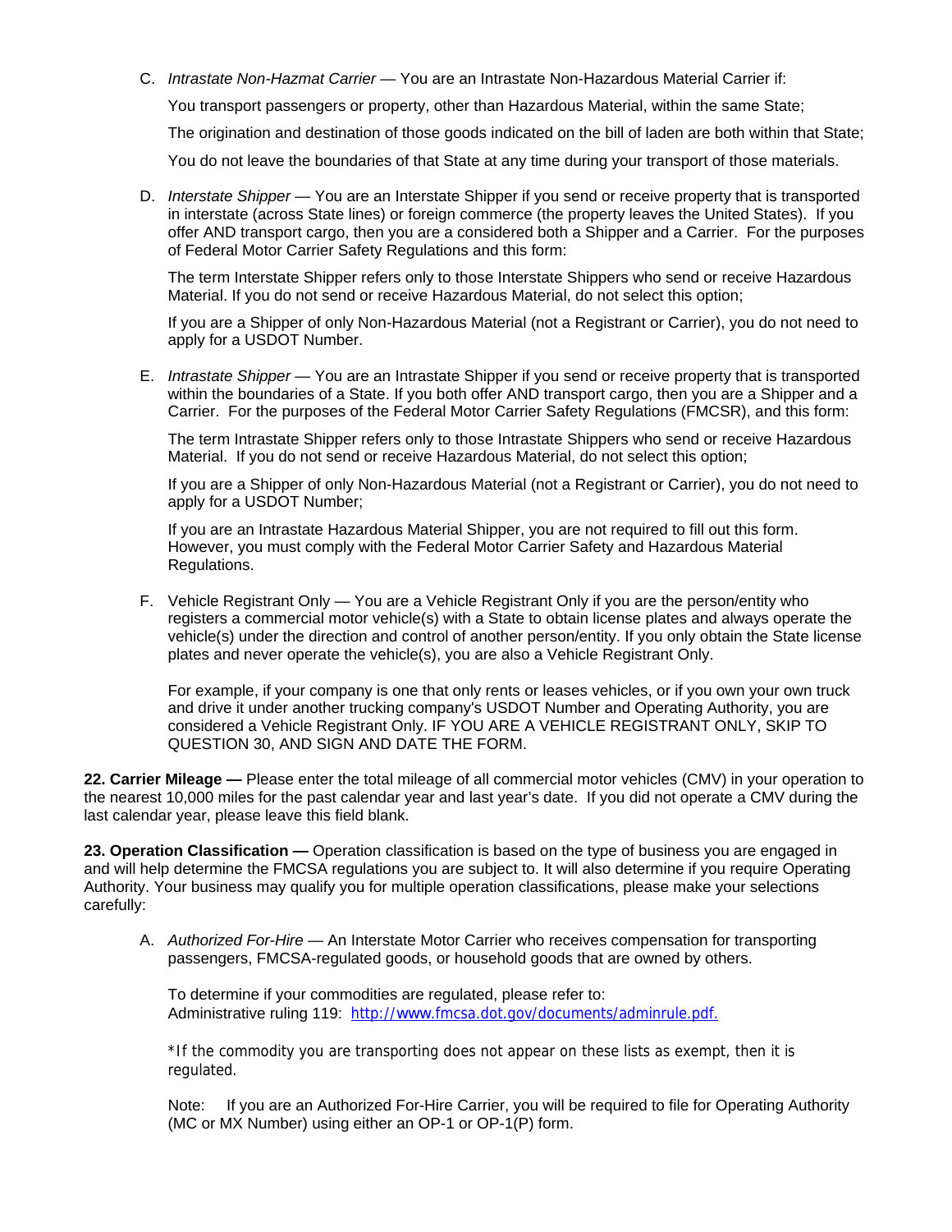C. *Intrastate Non-Hazmat Carrier —* You are an Intrastate Non-Hazardous Material Carrier if:

You transport passengers or property, other than Hazardous Material, within the same State;

The origination and destination of those goods indicated on the bill of laden are both within that State;

You do not leave the boundaries of that State at any time during your transport of those materials.

D. *Interstate Shipper —* You are an Interstate Shipper if you send or receive property that is transported in interstate (across State lines) or foreign commerce (the property leaves the United States). If you offer AND transport cargo, then you are a considered both a Shipper and a Carrier. For the purposes of Federal Motor Carrier Safety Regulations and this form:

The term Interstate Shipper refers only to those Interstate Shippers who send or receive Hazardous Material. If you do not send or receive Hazardous Material, do not select this option;

If you are a Shipper of only Non-Hazardous Material (not a Registrant or Carrier), you do not need to apply for a USDOT Number.

E. *Intrastate Shipper —* You are an Intrastate Shipper if you send or receive property that is transported within the boundaries of a State. If you both offer AND transport cargo, then you are a Shipper and a Carrier. For the purposes of the Federal Motor Carrier Safety Regulations (FMCSR), and this form:

The term Intrastate Shipper refers only to those Intrastate Shippers who send or receive Hazardous Material. If you do not send or receive Hazardous Material, do not select this option;

If you are a Shipper of only Non-Hazardous Material (not a Registrant or Carrier), you do not need to apply for a USDOT Number;

If you are an Intrastate Hazardous Material Shipper, you are not required to fill out this form. However, you must comply with the Federal Motor Carrier Safety and Hazardous Material Regulations.

F. Vehicle Registrant Only *—* You are a Vehicle Registrant Only if you are the person/entity who registers a commercial motor vehicle(s) with a State to obtain license plates and always operate the vehicle(s) under the direction and control of another person/entity. If you only obtain the State license plates and never operate the vehicle(s), you are also a Vehicle Registrant Only.

For example, if your company is one that only rents or leases vehicles, or if you own your own truck and drive it under another trucking company's USDOT Number and Operating Authority, you are considered a Vehicle Registrant Only. IF YOU ARE A VEHICLE REGISTRANT ONLY, SKIP TO QUESTION 30, AND SIGN AND DATE THE FORM.

**22. Carrier Mileage —** Please enter the total mileage of all commercial motor vehicles (CMV) in your operation to the nearest 10,000 miles for the past calendar year and last year's date. If you did not operate a CMV during the last calendar year, please leave this field blank.

**23. Operation Classification —** Operation classification is based on the type of business you are engaged in and will help determine the FMCSA regulations you are subject to. It will also determine if you require Operating Authority. Your business may qualify you for multiple operation classifications, please make your selections carefully:

A. *Authorized For-Hire —* An Interstate Motor Carrier who receives compensation for transporting passengers, FMCSA-regulated goods, or household goods that are owned by others.

To determine if your commodities are regulated, please refer to: Administrative ruling 119: [http://www.fmcsa.dot.gov/documents/adminrule.pdf.](http://www.fmcsa.dot.gov/documents/adminrule.pdf)

\*If the commodity you are transporting does not appear on these lists as exempt, then it is regulated.

Note: If you are an Authorized For-Hire Carrier, you will be required to file for Operating Authority (MC or MX Number) using either an OP-1 or OP-1(P) form.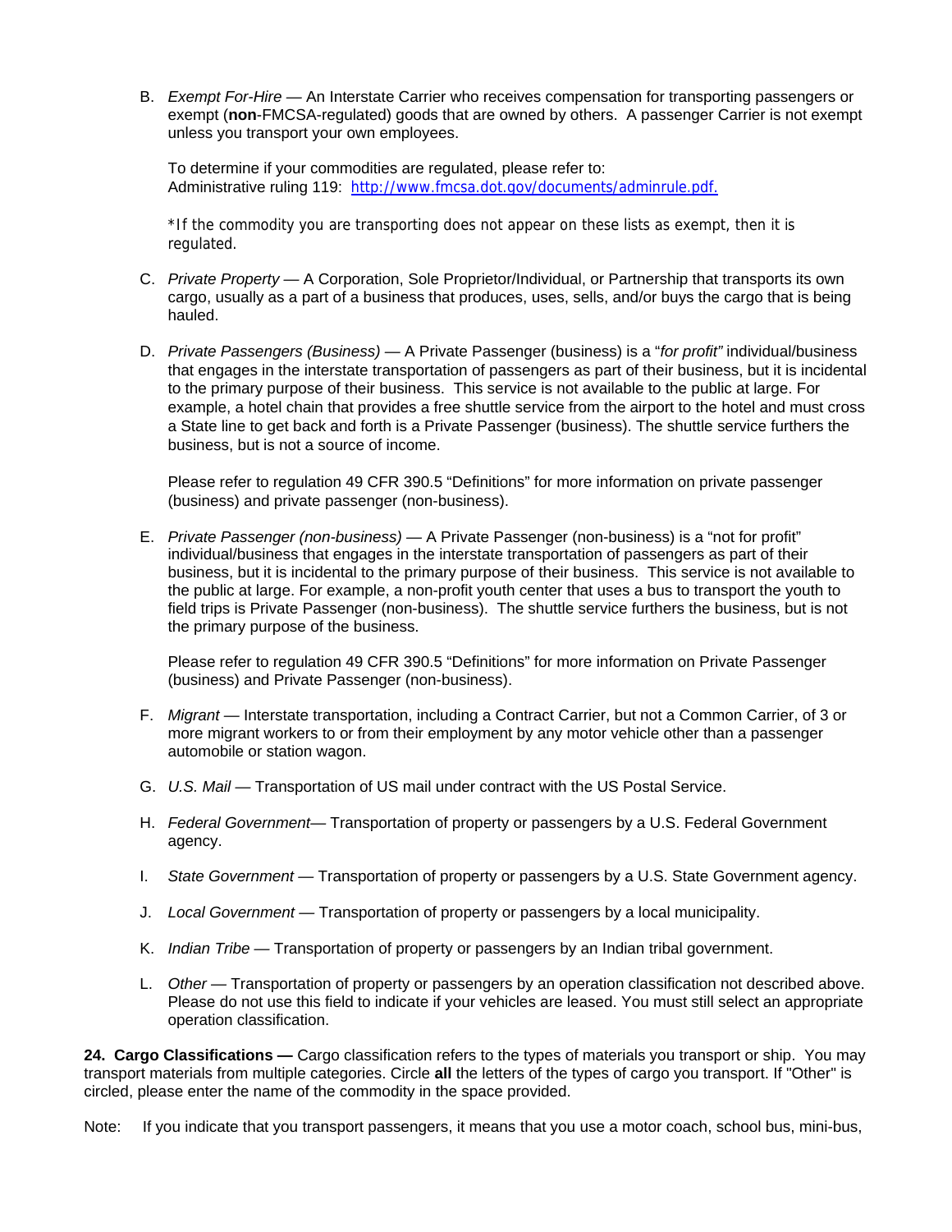B. *Exempt For-Hire —* An Interstate Carrier who receives compensation for transporting passengers or exempt (**non**-FMCSA-regulated) goods that are owned by others. A passenger Carrier is not exempt unless you transport your own employees.

To determine if your commodities are regulated, please refer to: Administrative ruling 119: [http://www.fmcsa.dot.gov/documents/adminrule.pdf.](http://www.fmcsa.dot.gov/documents/adminrule.pdf)

\*If the commodity you are transporting does not appear on these lists as exempt, then it is regulated.

- C. *Private Property* A Corporation, Sole Proprietor/Individual, or Partnership that transports its own cargo, usually as a part of a business that produces, uses, sells, and/or buys the cargo that is being hauled.
- D. *Private Passengers (Business)* A Private Passenger (business) is a "*for profit"* individual/business that engages in the interstate transportation of passengers as part of their business, but it is incidental to the primary purpose of their business. This service is not available to the public at large. For example, a hotel chain that provides a free shuttle service from the airport to the hotel and must cross a State line to get back and forth is a Private Passenger (business). The shuttle service furthers the business, but is not a source of income.

Please refer to regulation 49 CFR 390.5 "Definitions" for more information on private passenger (business) and private passenger (non-business).

E. *Private Passenger (non-business) —* A Private Passenger (non-business) is a "not for profit" individual/business that engages in the interstate transportation of passengers as part of their business, but it is incidental to the primary purpose of their business. This service is not available to the public at large. For example, a non-profit youth center that uses a bus to transport the youth to field trips is Private Passenger (non-business). The shuttle service furthers the business, but is not the primary purpose of the business.

Please refer to regulation 49 CFR 390.5 "Definitions" for more information on Private Passenger (business) and Private Passenger (non-business).

- F. *Migrant* Interstate transportation, including a Contract Carrier, but not a Common Carrier, of 3 or more migrant workers to or from their employment by any motor vehicle other than a passenger automobile or station wagon.
- G. *U.S. Mail* Transportation of US mail under contract with the US Postal Service.
- H. *Federal Government—* Transportation of property or passengers by a U.S. Federal Government agency.
- I. *State Government* Transportation of property or passengers by a U.S. State Government agency.
- J. *Local Government* Transportation of property or passengers by a local municipality.
- K. *Indian Tribe* Transportation of property or passengers by an Indian tribal government.
- L. *Other* Transportation of property or passengers by an operation classification not described above. Please do not use this field to indicate if your vehicles are leased. You must still select an appropriate operation classification.

**24. Cargo Classifications —** Cargo classification refers to the types of materials you transport or ship. You may transport materials from multiple categories. Circle **all** the letters of the types of cargo you transport. If "Other" is circled, please enter the name of the commodity in the space provided.

Note: If you indicate that you transport passengers, it means that you use a motor coach, school bus, mini-bus,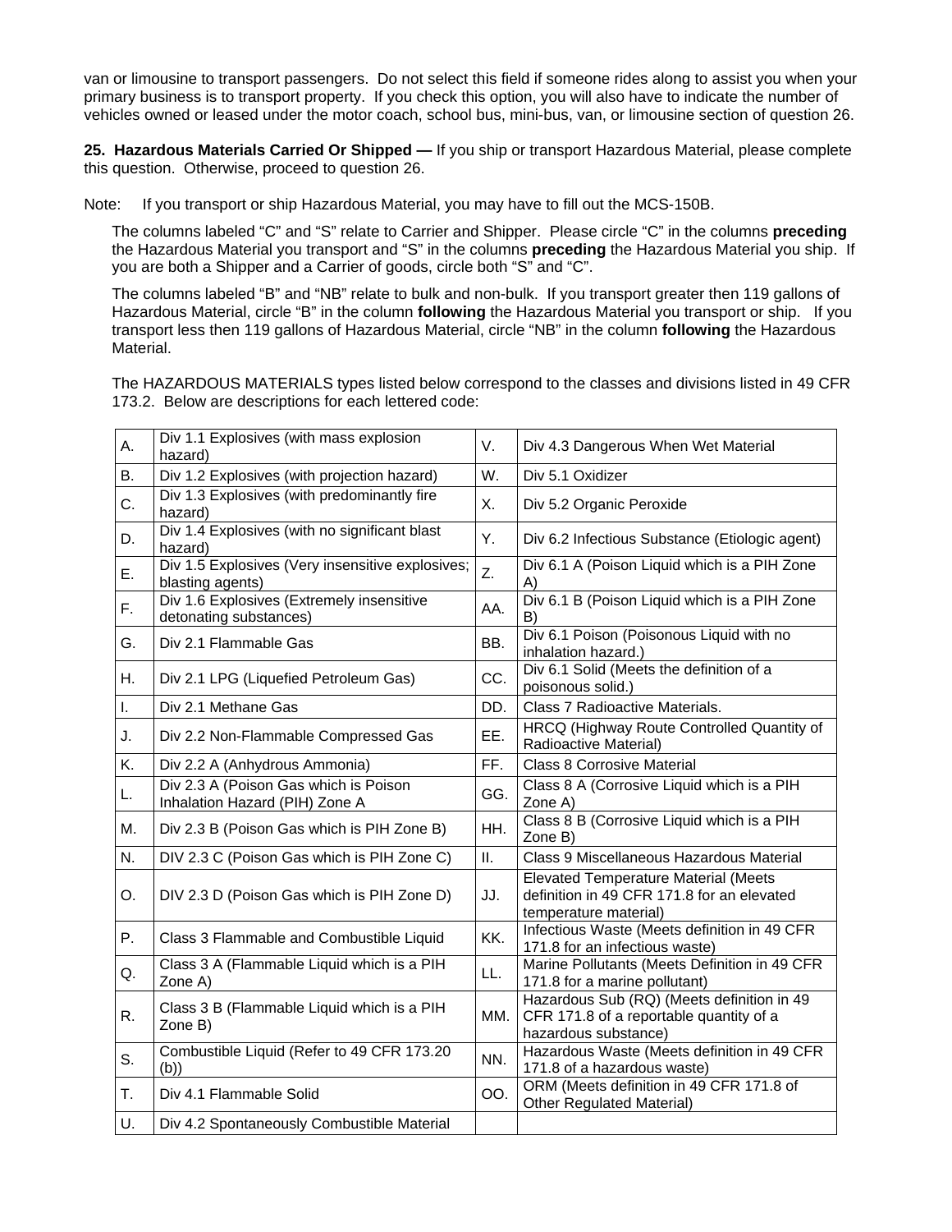van or limousine to transport passengers. Do not select this field if someone rides along to assist you when your primary business is to transport property. If you check this option, you will also have to indicate the number of vehicles owned or leased under the motor coach, school bus, mini-bus, van, or limousine section of question 26.

**25. Hazardous Materials Carried Or Shipped —** If you ship or transport Hazardous Material, please complete this question. Otherwise, proceed to question 26.

Note: If you transport or ship Hazardous Material, you may have to fill out the MCS-150B.

The columns labeled "C" and "S" relate to Carrier and Shipper. Please circle "C" in the columns **preceding**  the Hazardous Material you transport and "S" in the columns **preceding** the Hazardous Material you ship. If you are both a Shipper and a Carrier of goods, circle both "S" and "C".

The columns labeled "B" and "NB" relate to bulk and non-bulk. If you transport greater then 119 gallons of Hazardous Material, circle "B" in the column **following** the Hazardous Material you transport or ship. If you transport less then 119 gallons of Hazardous Material, circle "NB" in the column **following** the Hazardous Material.

The HAZARDOUS MATERIALS types listed below correspond to the classes and divisions listed in 49 CFR 173.2. Below are descriptions for each lettered code:

| А. | Div 1.1 Explosives (with mass explosion<br>hazard)                      | V.  | Div 4.3 Dangerous When Wet Material                                                                                |
|----|-------------------------------------------------------------------------|-----|--------------------------------------------------------------------------------------------------------------------|
| В. | Div 1.2 Explosives (with projection hazard)                             | W.  | Div 5.1 Oxidizer                                                                                                   |
| C. | Div 1.3 Explosives (with predominantly fire<br>hazard)                  | Χ.  | Div 5.2 Organic Peroxide                                                                                           |
| D. | Div 1.4 Explosives (with no significant blast<br>hazard)                | Υ.  | Div 6.2 Infectious Substance (Etiologic agent)                                                                     |
| Ε. | Div 1.5 Explosives (Very insensitive explosives;<br>blasting agents)    | Z.  | Div 6.1 A (Poison Liquid which is a PIH Zone<br>A)                                                                 |
| F. | Div 1.6 Explosives (Extremely insensitive<br>detonating substances)     | AA. | Div 6.1 B (Poison Liquid which is a PIH Zone<br>B)                                                                 |
| G. | Div 2.1 Flammable Gas                                                   | BB. | Div 6.1 Poison (Poisonous Liquid with no<br>inhalation hazard.)                                                    |
| Η. | Div 2.1 LPG (Liquefied Petroleum Gas)                                   | CC. | Div 6.1 Solid (Meets the definition of a<br>poisonous solid.)                                                      |
| T. | Div 2.1 Methane Gas                                                     | DD. | Class 7 Radioactive Materials.                                                                                     |
| J. | Div 2.2 Non-Flammable Compressed Gas                                    | EE. | HRCQ (Highway Route Controlled Quantity of<br>Radioactive Material)                                                |
| Κ. | Div 2.2 A (Anhydrous Ammonia)                                           | FF. | <b>Class 8 Corrosive Material</b>                                                                                  |
| L. | Div 2.3 A (Poison Gas which is Poison<br>Inhalation Hazard (PIH) Zone A | GG. | Class 8 A (Corrosive Liquid which is a PIH<br>Zone A)                                                              |
| M. | Div 2.3 B (Poison Gas which is PIH Zone B)                              | HH. | Class 8 B (Corrosive Liquid which is a PIH<br>Zone B)                                                              |
| N. | DIV 2.3 C (Poison Gas which is PIH Zone C)                              | II. | Class 9 Miscellaneous Hazardous Material                                                                           |
| O. | DIV 2.3 D (Poison Gas which is PIH Zone D)                              | JJ. | <b>Elevated Temperature Material (Meets</b><br>definition in 49 CFR 171.8 for an elevated<br>temperature material) |
| Ρ. | Class 3 Flammable and Combustible Liquid                                | KK. | Infectious Waste (Meets definition in 49 CFR<br>171.8 for an infectious waste)                                     |
| Q. | Class 3 A (Flammable Liquid which is a PIH<br>Zone A)                   | LL. | Marine Pollutants (Meets Definition in 49 CFR<br>171.8 for a marine pollutant)                                     |
| R. | Class 3 B (Flammable Liquid which is a PIH<br>Zone B)                   | MM. | Hazardous Sub (RQ) (Meets definition in 49<br>CFR 171.8 of a reportable quantity of a<br>hazardous substance)      |
| S. | Combustible Liquid (Refer to 49 CFR 173.20<br>(b))                      | NN. | Hazardous Waste (Meets definition in 49 CFR<br>171.8 of a hazardous waste)                                         |
| T. | Div 4.1 Flammable Solid                                                 | OO. | ORM (Meets definition in 49 CFR 171.8 of<br>Other Regulated Material)                                              |
| U. | Div 4.2 Spontaneously Combustible Material                              |     |                                                                                                                    |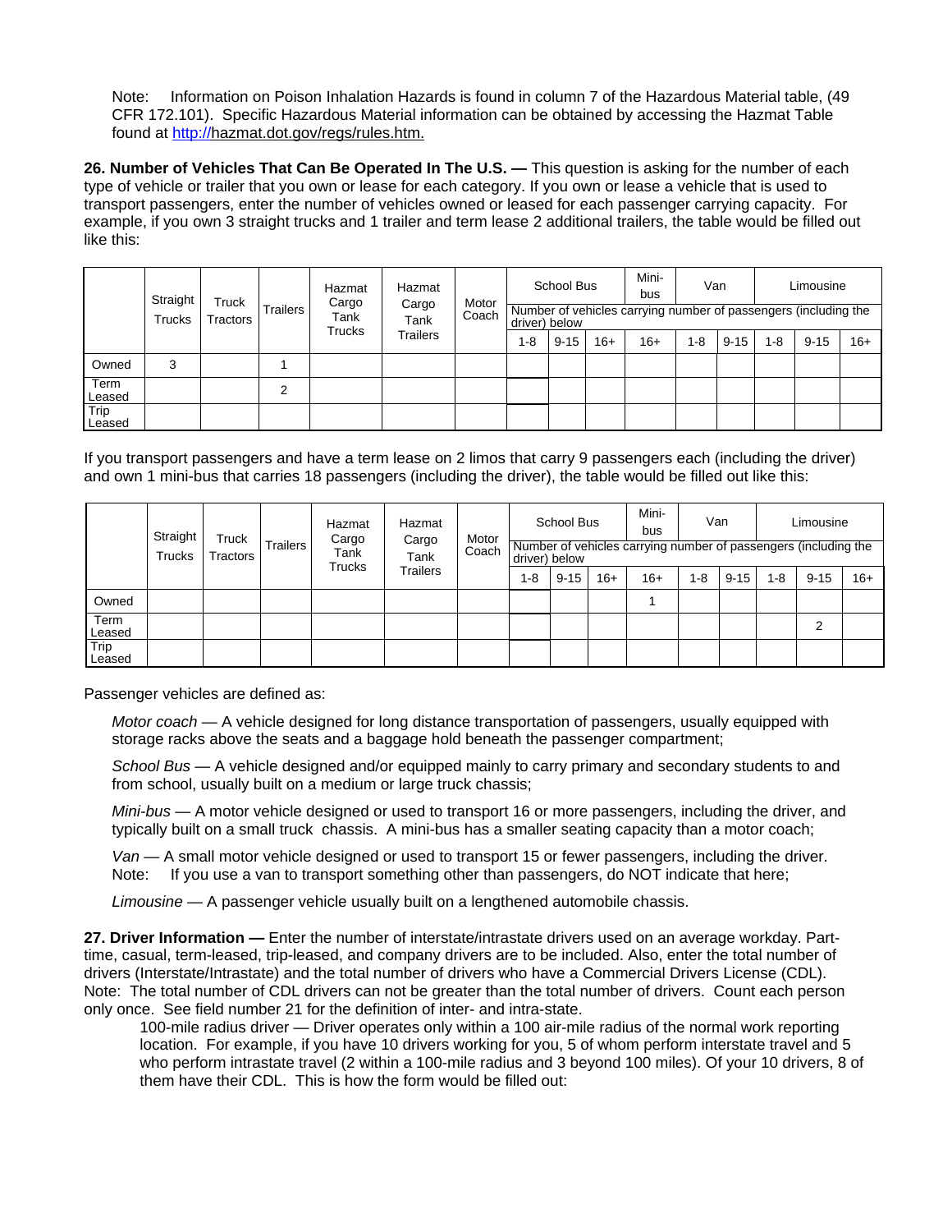Note: Information on Poison Inhalation Hazards is found in column 7 of the Hazardous Material table, (49 CFR 172.101). Specific Hazardous Material information can be obtained by accessing the Hazmat Table found at [http://hazmat.dot.gov/regs/rules.htm.](http://hazmat.dot.gov/regs/rules.htm)

26. Number of Vehicles That Can Be Operated In The U.S. — This question is asking for the number of each type of vehicle or trailer that you own or lease for each category. If you own or lease a vehicle that is used to transport passengers, enter the number of vehicles owned or leased for each passenger carrying capacity. For example, if you own 3 straight trucks and 1 trailer and term lease 2 additional trailers, the table would be filled out like this:

|                | Straight<br><b>Trucks</b> | Truck    | Trailers | Hazmat<br>Cargo                                 | Hazmat<br>Motor |  |          |                                                                                  | School Bus |  | Mini-<br>bus | Van |         |          | Limousine |       |         |          |         |          |       |
|----------------|---------------------------|----------|----------|-------------------------------------------------|-----------------|--|----------|----------------------------------------------------------------------------------|------------|--|--------------|-----|---------|----------|-----------|-------|---------|----------|---------|----------|-------|
|                |                           | Tractors |          | Cargo<br>Coach<br>Tank<br>Tank<br><b>Trucks</b> |                 |  |          | Number of vehicles carrying number of passengers (including the<br>driver) below |            |  |              |     |         |          |           |       |         |          |         |          |       |
|                |                           |          |          |                                                 |                 |  | Trailers |                                                                                  |            |  |              |     | $1 - 8$ | $9 - 15$ | $16+$     | $16+$ | $1 - 8$ | $9 - 15$ | $1 - 8$ | $9 - 15$ | $16+$ |
| Owned          | 3                         |          |          |                                                 |                 |  |          |                                                                                  |            |  |              |     |         |          |           |       |         |          |         |          |       |
| Term<br>Leased |                           |          | ົ        |                                                 |                 |  |          |                                                                                  |            |  |              |     |         |          |           |       |         |          |         |          |       |
| Trip<br>Leased |                           |          |          |                                                 |                 |  |          |                                                                                  |            |  |              |     |         |          |           |       |         |          |         |          |       |

If you transport passengers and have a term lease on 2 limos that carry 9 passengers each (including the driver) and own 1 mini-bus that carries 18 passengers (including the driver), the table would be filled out like this:

|                       | Straight<br><b>Trucks</b> | Truck<br><b>Tractors</b> |  | Hazmat<br>Cargo                                             | Hazmat<br>Motor |  |  | School Bus                                                                       |  | Mini-<br>bus | Van     |          |       | Limousine      |         |          |         |          |       |
|-----------------------|---------------------------|--------------------------|--|-------------------------------------------------------------|-----------------|--|--|----------------------------------------------------------------------------------|--|--------------|---------|----------|-------|----------------|---------|----------|---------|----------|-------|
|                       |                           |                          |  | Cargo<br><b>Trailers</b><br>Coach<br>Tank<br>Tank<br>Trucks |                 |  |  | Number of vehicles carrying number of passengers (including the<br>driver) below |  |              |         |          |       |                |         |          |         |          |       |
|                       |                           |                          |  |                                                             | Trailers        |  |  |                                                                                  |  |              | $1 - 8$ | $9 - 15$ | $16+$ | $16+$          | $1 - 8$ | $9 - 15$ | $1 - 8$ | $9 - 15$ | $16+$ |
| Owned                 |                           |                          |  |                                                             |                 |  |  |                                                                                  |  |              |         |          |       |                |         |          |         |          |       |
| <b>Term</b><br>Leased |                           |                          |  |                                                             |                 |  |  |                                                                                  |  |              |         |          |       | $\overline{2}$ |         |          |         |          |       |
| Trip<br>Leased        |                           |                          |  |                                                             |                 |  |  |                                                                                  |  |              |         |          |       |                |         |          |         |          |       |

Passenger vehicles are defined as:

*Motor coach* — A vehicle designed for long distance transportation of passengers, usually equipped with storage racks above the seats and a baggage hold beneath the passenger compartment;

*School Bus* — A vehicle designed and/or equipped mainly to carry primary and secondary students to and from school, usually built on a medium or large truck chassis;

*Mini-bus* — A motor vehicle designed or used to transport 16 or more passengers, including the driver, and typically built on a small truck chassis. A mini-bus has a smaller seating capacity than a motor coach;

*Van* — A small motor vehicle designed or used to transport 15 or fewer passengers, including the driver. Note: If you use a van to transport something other than passengers, do NOT indicate that here;

*Limousine* — A passenger vehicle usually built on a lengthened automobile chassis.

**27. Driver Information —** Enter the number of interstate/intrastate drivers used on an average workday. Parttime, casual, term-leased, trip-leased, and company drivers are to be included. Also, enter the total number of drivers (Interstate/Intrastate) and the total number of drivers who have a Commercial Drivers License (CDL). Note: The total number of CDL drivers can not be greater than the total number of drivers. Count each person only once. See field number 21 for the definition of inter- and intra-state.

100-mile radius driver — Driver operates only within a 100 air-mile radius of the normal work reporting location. For example, if you have 10 drivers working for you, 5 of whom perform interstate travel and 5 who perform intrastate travel (2 within a 100-mile radius and 3 beyond 100 miles). Of your 10 drivers, 8 of them have their CDL. This is how the form would be filled out: